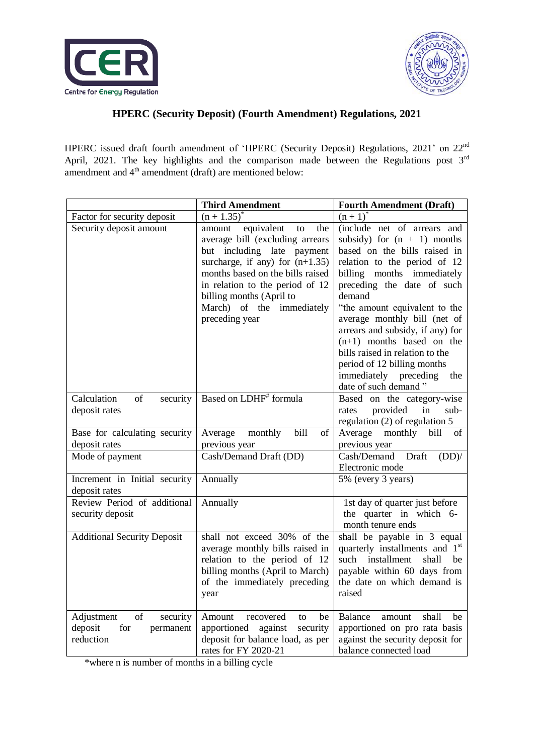



## **HPERC (Security Deposit) (Fourth Amendment) Regulations, 2021**

HPERC issued draft fourth amendment of 'HPERC (Security Deposit) Regulations, 2021' on 22<sup>nd</sup> April, 2021. The key highlights and the comparison made between the Regulations post  $3<sup>rd</sup>$ amendment and  $4<sup>th</sup>$  amendment (draft) are mentioned below:

|                                                                          | <b>Third Amendment</b>                                                                                                                                                                                                                                                                    | <b>Fourth Amendment (Draft)</b>                                                                                                                                                                                                                                                                                                                                                                                                                                  |
|--------------------------------------------------------------------------|-------------------------------------------------------------------------------------------------------------------------------------------------------------------------------------------------------------------------------------------------------------------------------------------|------------------------------------------------------------------------------------------------------------------------------------------------------------------------------------------------------------------------------------------------------------------------------------------------------------------------------------------------------------------------------------------------------------------------------------------------------------------|
| Factor for security deposit                                              | $(n + 1.35)$                                                                                                                                                                                                                                                                              | $(n+1)$                                                                                                                                                                                                                                                                                                                                                                                                                                                          |
| Security deposit amount                                                  | equivalent<br>the<br>amount<br>to<br>average bill (excluding arrears<br>but including late payment<br>surcharge, if any) for $(n+1.35)$<br>months based on the bills raised<br>in relation to the period of 12<br>billing months (April to<br>March) of the immediately<br>preceding year | (include net of arrears and<br>subsidy) for $(n + 1)$ months<br>based on the bills raised in<br>relation to the period of 12<br>billing months immediately<br>preceding the date of such<br>demand<br>"the amount equivalent to the<br>average monthly bill (net of<br>arrears and subsidy, if any) for<br>$(n+1)$ months based on the<br>bills raised in relation to the<br>period of 12 billing months<br>immediately preceding<br>the<br>date of such demand" |
| Calculation<br><sub>of</sub><br>security<br>deposit rates                | Based on LDHF <sup>#</sup> formula                                                                                                                                                                                                                                                        | Based on the category-wise<br>provided<br>in<br>sub-<br>rates<br>regulation (2) of regulation 5                                                                                                                                                                                                                                                                                                                                                                  |
| Base for calculating security                                            | Average<br>monthly<br>bill<br>of                                                                                                                                                                                                                                                          | Average<br>monthly<br>bill<br>οf                                                                                                                                                                                                                                                                                                                                                                                                                                 |
| deposit rates                                                            | previous year                                                                                                                                                                                                                                                                             | previous year                                                                                                                                                                                                                                                                                                                                                                                                                                                    |
| Mode of payment                                                          | Cash/Demand Draft (DD)                                                                                                                                                                                                                                                                    | Draft<br>Cash/Demand<br>(DD)<br>Electronic mode                                                                                                                                                                                                                                                                                                                                                                                                                  |
| Increment in Initial security<br>deposit rates                           | Annually                                                                                                                                                                                                                                                                                  | 5% (every 3 years)                                                                                                                                                                                                                                                                                                                                                                                                                                               |
| Review Period of additional<br>security deposit                          | Annually                                                                                                                                                                                                                                                                                  | 1st day of quarter just before<br>the quarter in which 6-<br>month tenure ends                                                                                                                                                                                                                                                                                                                                                                                   |
| <b>Additional Security Deposit</b>                                       | shall not exceed 30% of the<br>average monthly bills raised in<br>relation to the period of 12<br>billing months (April to March)<br>of the immediately preceding<br>year                                                                                                                 | shall be payable in 3 equal<br>quarterly installments and 1 <sup>st</sup><br>such installment<br>shall<br>be<br>payable within 60 days from<br>the date on which demand is<br>raised                                                                                                                                                                                                                                                                             |
| of<br>Adjustment<br>security<br>deposit<br>for<br>permanent<br>reduction | Amount<br>recovered<br>be<br>to<br>against<br>apportioned<br>security<br>deposit for balance load, as per<br>rates for FY 2020-21                                                                                                                                                         | <b>Balance</b><br>shall<br>be<br>amount<br>apportioned on pro rata basis<br>against the security deposit for<br>balance connected load                                                                                                                                                                                                                                                                                                                           |

\*where n is number of months in a billing cycle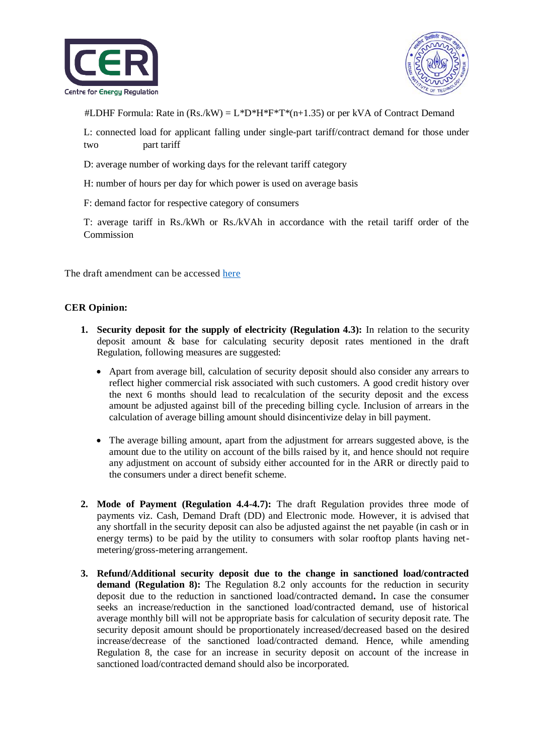



#LDHF Formula: Rate in  $(Rs/kW) = L^*D^*H^*F^*T^*(n+1.35)$  or per kVA of Contract Demand

L: connected load for applicant falling under single-part tariff/contract demand for those under two part tariff

- D: average number of working days for the relevant tariff category
- H: number of hours per day for which power is used on average basis
- F: demand factor for respective category of consumers

T: average tariff in Rs./kWh or Rs./kVAh in accordance with the retail tariff order of the Commission

The draft amendment can be accessed [here](https://cer.iitk.ac.in/odf_assets/upload_files/HPERC_4th_Amendment_Security_Deposit.pdf)

## **CER Opinion:**

- **1. Security deposit for the supply of electricity (Regulation 4.3):** In relation to the security deposit amount & base for calculating security deposit rates mentioned in the draft Regulation, following measures are suggested:
	- Apart from average bill, calculation of security deposit should also consider any arrears to reflect higher commercial risk associated with such customers. A good credit history over the next 6 months should lead to recalculation of the security deposit and the excess amount be adjusted against bill of the preceding billing cycle. Inclusion of arrears in the calculation of average billing amount should disincentivize delay in bill payment.
	- The average billing amount, apart from the adjustment for arrears suggested above, is the amount due to the utility on account of the bills raised by it, and hence should not require any adjustment on account of subsidy either accounted for in the ARR or directly paid to the consumers under a direct benefit scheme.
- **2. Mode of Payment (Regulation 4.4-4.7):** The draft Regulation provides three mode of payments viz. Cash, Demand Draft (DD) and Electronic mode. However, it is advised that any shortfall in the security deposit can also be adjusted against the net payable (in cash or in energy terms) to be paid by the utility to consumers with solar rooftop plants having netmetering/gross-metering arrangement.
- **3. Refund/Additional security deposit due to the change in sanctioned load/contracted**  demand (Regulation 8): The Regulation 8.2 only accounts for the reduction in security deposit due to the reduction in sanctioned load/contracted demand**.** In case the consumer seeks an increase/reduction in the sanctioned load/contracted demand, use of historical average monthly bill will not be appropriate basis for calculation of security deposit rate. The security deposit amount should be proportionately increased/decreased based on the desired increase/decrease of the sanctioned load/contracted demand. Hence, while amending Regulation 8, the case for an increase in security deposit on account of the increase in sanctioned load/contracted demand should also be incorporated.